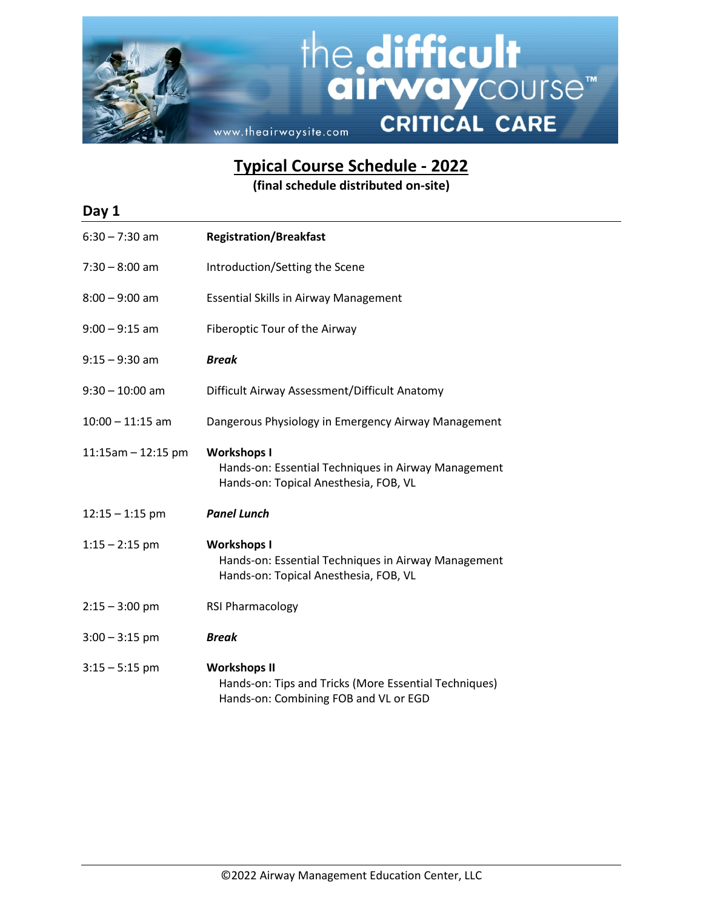

**Typical Course Schedule - 2022**

**(final schedule distributed on-site)**

| Day 1                 |                                                                                                                       |
|-----------------------|-----------------------------------------------------------------------------------------------------------------------|
| $6:30 - 7:30$ am      | <b>Registration/Breakfast</b>                                                                                         |
| $7:30 - 8:00$ am      | Introduction/Setting the Scene                                                                                        |
| $8:00 - 9:00$ am      | <b>Essential Skills in Airway Management</b>                                                                          |
| $9:00 - 9:15$ am      | Fiberoptic Tour of the Airway                                                                                         |
| $9:15 - 9:30$ am      | <b>Break</b>                                                                                                          |
| $9:30 - 10:00$ am     | Difficult Airway Assessment/Difficult Anatomy                                                                         |
| $10:00 - 11:15$ am    | Dangerous Physiology in Emergency Airway Management                                                                   |
| $11:15$ am - 12:15 pm | <b>Workshops I</b><br>Hands-on: Essential Techniques in Airway Management<br>Hands-on: Topical Anesthesia, FOB, VL    |
| $12:15 - 1:15$ pm     | <b>Panel Lunch</b>                                                                                                    |
| $1:15 - 2:15$ pm      | <b>Workshops I</b><br>Hands-on: Essential Techniques in Airway Management<br>Hands-on: Topical Anesthesia, FOB, VL    |
| $2:15 - 3:00$ pm      | RSI Pharmacology                                                                                                      |
| $3:00 - 3:15$ pm      | <b>Break</b>                                                                                                          |
| $3:15 - 5:15$ pm      | <b>Workshops II</b><br>Hands-on: Tips and Tricks (More Essential Techniques)<br>Hands-on: Combining FOB and VL or EGD |
|                       |                                                                                                                       |